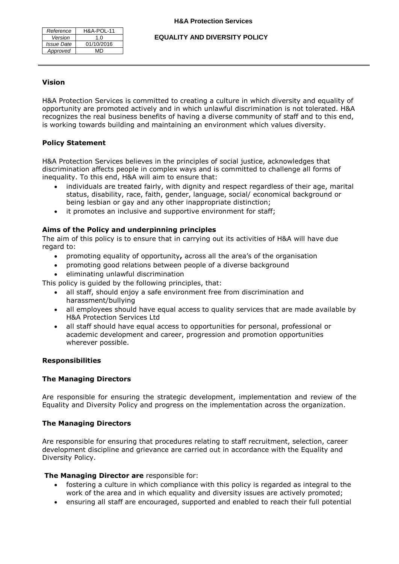| Reference         | <b>H&amp;A-POL-11</b> |
|-------------------|-----------------------|
| Version           | 1.0                   |
| <b>Issue Date</b> | 01/10/2016            |
| Approved          | MD                    |

**EQUALITY AND DIVERSITY POLICY**

#### **Vision**

H&A Protection Services is committed to creating a culture in which diversity and equality of opportunity are promoted actively and in which unlawful discrimination is not tolerated. H&A recognizes the real business benefits of having a diverse community of staff and to this end, is working towards building and maintaining an environment which values diversity.

## **Policy Statement**

H&A Protection Services believes in the principles of social justice, acknowledges that discrimination affects people in complex ways and is committed to challenge all forms of inequality. To this end, H&A will aim to ensure that:

- individuals are treated fairly, with dignity and respect regardless of their age, marital status, disability, race, faith, gender, language, social/ economical background or being lesbian or gay and any other inappropriate distinction;
- it promotes an inclusive and supportive environment for staff;

## **Aims of the Policy and underpinning principles**

The aim of this policy is to ensure that in carrying out its activities of H&A will have due regard to:

- promoting equality of opportunity**,** across all the area's of the organisation
- promoting good relations between people of a diverse background
- eliminating unlawful discrimination

This policy is guided by the following principles, that:

- all staff, should enjoy a safe environment free from discrimination and harassment/bullying
- all employees should have equal access to quality services that are made available by H&A Protection Services Ltd
- all staff should have equal access to opportunities for personal, professional or academic development and career, progression and promotion opportunities wherever possible.

#### **Responsibilities**

## **The Managing Directors**

Are responsible for ensuring the strategic development, implementation and review of the Equality and Diversity Policy and progress on the implementation across the organization.

## **The Managing Directors**

Are responsible for ensuring that procedures relating to staff recruitment, selection, career development discipline and grievance are carried out in accordance with the Equality and Diversity Policy.

#### **The Managing Director are** responsible for:

- fostering a culture in which compliance with this policy is regarded as integral to the work of the area and in which equality and diversity issues are actively promoted;
- ensuring all staff are encouraged, supported and enabled to reach their full potential